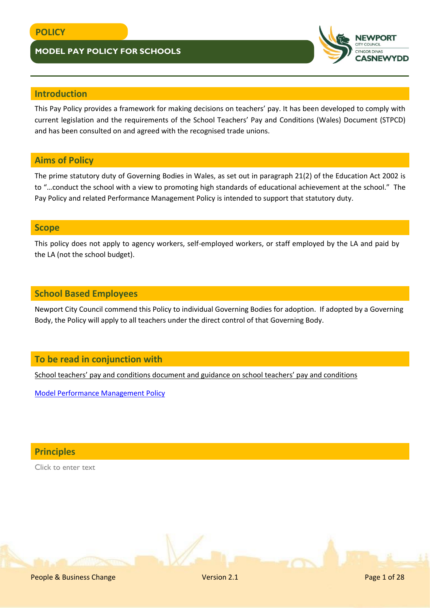

## **Introduction**

This Pay Policy provides a framework for making decisions on teachers' pay. It has been developed to comply with current legislation and the requirements of the School Teachers' Pay and Conditions (Wales) Document (STPCD) and has been consulted on and agreed with the recognised trade unions.

# **Aims of Policy**

The prime statutory duty of Governing Bodies in Wales, as set out in paragraph 21(2) of the Education Act 2002 is to "…conduct the school with a view to promoting high standards of educational achievement at the school." The Pay Policy and related Performance Management Policy is intended to support that statutory duty.

## **Scope**

This policy does not apply to agency workers, self-employed workers, or staff employed by the LA and paid by the LA (not the school budget).

## **School Based Employees**

Newport City Council commend this Policy to individual Governing Bodies for adoption. If adopted by a Governing Body, the Policy will apply to all teachers under the direct control of that Governing Body.

## **To be read in conjunction with**

[School teachers' pay and conditions document and guidance on school teachers' pay and conditions](https://gov.wales/school-teachers-pay-and-conditions-wales-document-2019)

[Model Performance Management Policy](http://www.newport.gov.uk/documents/Policies/HR-Model-Performance-Management-Policy-for-Teachers.pdf)

**Principles**

Click to enter text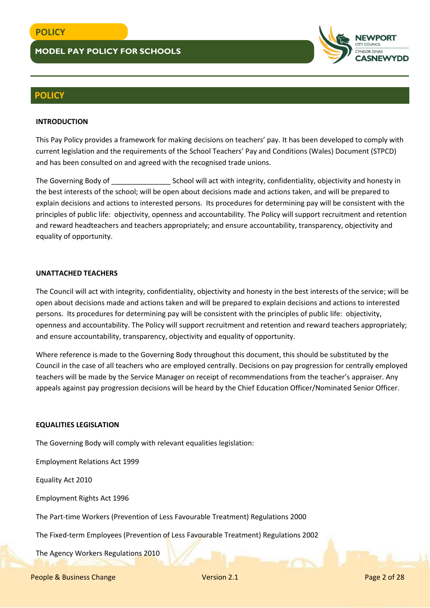

## **POLICY**

#### **INTRODUCTION**

This Pay Policy provides a framework for making decisions on teachers' pay. It has been developed to comply with current legislation and the requirements of the School Teachers' Pay and Conditions (Wales) Document (STPCD) and has been consulted on and agreed with the recognised trade unions.

The Governing Body of The Governing Body of School will act with integrity, confidentiality, objectivity and honesty in the best interests of the school; will be open about decisions made and actions taken, and will be prepared to explain decisions and actions to interested persons. Its procedures for determining pay will be consistent with the principles of public life: objectivity, openness and accountability. The Policy will support recruitment and retention and reward headteachers and teachers appropriately; and ensure accountability, transparency, objectivity and equality of opportunity.

#### **UNATTACHED TEACHERS**

The Council will act with integrity, confidentiality, objectivity and honesty in the best interests of the service; will be open about decisions made and actions taken and will be prepared to explain decisions and actions to interested persons. Its procedures for determining pay will be consistent with the principles of public life: objectivity, openness and accountability. The Policy will support recruitment and retention and reward teachers appropriately; and ensure accountability, transparency, objectivity and equality of opportunity.

Where reference is made to the Governing Body throughout this document, this should be substituted by the Council in the case of all teachers who are employed centrally. Decisions on pay progression for centrally employed teachers will be made by the Service Manager on receipt of recommendations from the teacher's appraiser. Any appeals against pay progression decisions will be heard by the Chief Education Officer/Nominated Senior Officer.

#### **EQUALITIES LEGISLATION**

The Governing Body will comply with relevant equalities legislation:

Employment Relations Act 1999

Equality Act 2010

Employment Rights Act 1996

The Part-time Workers (Prevention of Less Favourable Treatment) Regulations 2000

The Fixed-term Employees (Prevention of Less Favourable Treatment) Regulations 2002

The Agency Workers Regulations 2010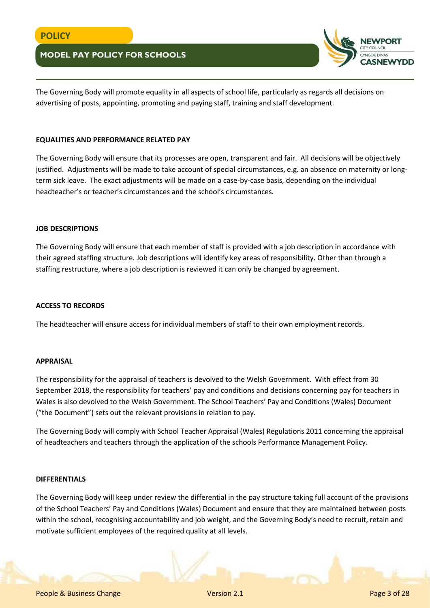

The Governing Body will promote equality in all aspects of school life, particularly as regards all decisions on advertising of posts, appointing, promoting and paying staff, training and staff development.

#### **EQUALITIES AND PERFORMANCE RELATED PAY**

The Governing Body will ensure that its processes are open, transparent and fair. All decisions will be objectively justified. Adjustments will be made to take account of special circumstances, e.g. an absence on maternity or longterm sick leave. The exact adjustments will be made on a case-by-case basis, depending on the individual headteacher's or teacher's circumstances and the school's circumstances.

#### **JOB DESCRIPTIONS**

The Governing Body will ensure that each member of staff is provided with a job description in accordance with their agreed staffing structure. Job descriptions will identify key areas of responsibility. Other than through a staffing restructure, where a job description is reviewed it can only be changed by agreement.

#### **ACCESS TO RECORDS**

The headteacher will ensure access for individual members of staff to their own employment records.

#### **APPRAISAL**

The responsibility for the appraisal of teachers is devolved to the Welsh Government. With effect from 30 September 2018, the responsibility for teachers' pay and conditions and decisions concerning pay for teachers in Wales is also devolved to the Welsh Government. The School Teachers' Pay and Conditions (Wales) Document ("the Document") sets out the relevant provisions in relation to pay.

The Governing Body will comply with School Teacher Appraisal (Wales) Regulations 2011 concerning the appraisal of headteachers and teachers through the application of the schools Performance Management Policy.

#### **DIFFERENTIALS**

The Governing Body will keep under review the differential in the pay structure taking full account of the provisions of the School Teachers' Pay and Conditions (Wales) Document and ensure that they are maintained between posts within the school, recognising accountability and job weight, and the Governing Body's need to recruit, retain and motivate sufficient employees of the required quality at all levels.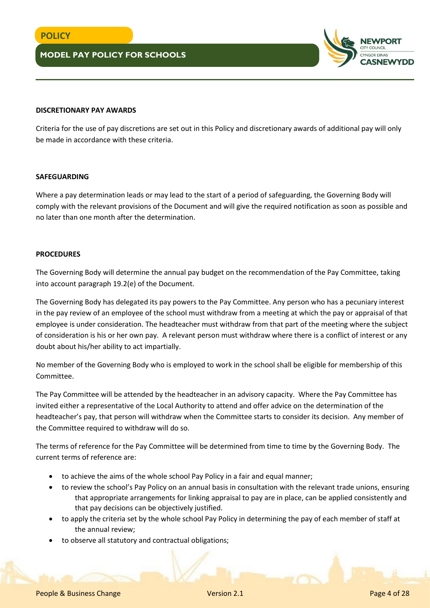

#### **DISCRETIONARY PAY AWARDS**

Criteria for the use of pay discretions are set out in this Policy and discretionary awards of additional pay will only be made in accordance with these criteria.

#### **SAFEGUARDING**

Where a pay determination leads or may lead to the start of a period of safeguarding, the Governing Body will comply with the relevant provisions of the Document and will give the required notification as soon as possible and no later than one month after the determination.

### **PROCEDURES**

The Governing Body will determine the annual pay budget on the recommendation of the Pay Committee, taking into account paragraph 19.2(e) of the Document.

The Governing Body has delegated its pay powers to the Pay Committee. Any person who has a pecuniary interest in the pay review of an employee of the school must withdraw from a meeting at which the pay or appraisal of that employee is under consideration. The headteacher must withdraw from that part of the meeting where the subject of consideration is his or her own pay. A relevant person must withdraw where there is a conflict of interest or any doubt about his/her ability to act impartially.

No member of the Governing Body who is employed to work in the school shall be eligible for membership of this Committee.

The Pay Committee will be attended by the headteacher in an advisory capacity. Where the Pay Committee has invited either a representative of the Local Authority to attend and offer advice on the determination of the headteacher's pay, that person will withdraw when the Committee starts to consider its decision. Any member of the Committee required to withdraw will do so.

The terms of reference for the Pay Committee will be determined from time to time by the Governing Body. The current terms of reference are:

- to achieve the aims of the whole school Pay Policy in a fair and equal manner;
- to review the school's Pay Policy on an annual basis in consultation with the relevant trade unions, ensuring that appropriate arrangements for linking appraisal to pay are in place, can be applied consistently and that pay decisions can be objectively justified.
- to apply the criteria set by the whole school Pay Policy in determining the pay of each member of staff at the annual review;
- to observe all statutory and contractual obligations;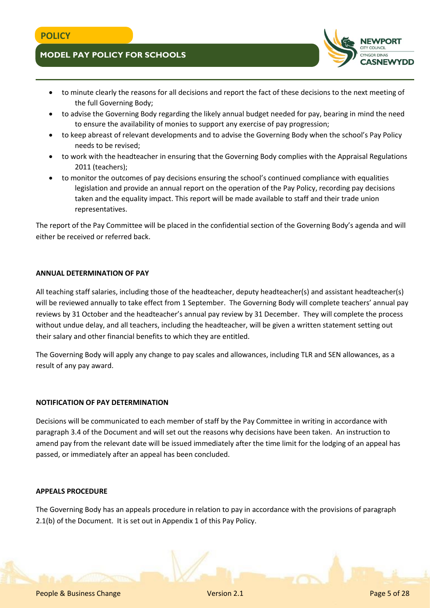- to minute clearly the reasons for all decisions and report the fact of these decisions to the next meeting of the full Governing Body;
- to advise the Governing Body regarding the likely annual budget needed for pay, bearing in mind the need to ensure the availability of monies to support any exercise of pay progression;
- to keep abreast of relevant developments and to advise the Governing Body when the school's Pay Policy needs to be revised;
- to work with the headteacher in ensuring that the Governing Body complies with the Appraisal Regulations 2011 (teachers);
- to monitor the outcomes of pay decisions ensuring the school's continued compliance with equalities legislation and provide an annual report on the operation of the Pay Policy, recording pay decisions taken and the equality impact. This report will be made available to staff and their trade union representatives.

The report of the Pay Committee will be placed in the confidential section of the Governing Body's agenda and will either be received or referred back.

#### **ANNUAL DETERMINATION OF PAY**

All teaching staff salaries, including those of the headteacher, deputy headteacher(s) and assistant headteacher(s) will be reviewed annually to take effect from 1 September. The Governing Body will complete teachers' annual pay reviews by 31 October and the headteacher's annual pay review by 31 December. They will complete the process without undue delay, and all teachers, including the headteacher, will be given a written statement setting out their salary and other financial benefits to which they are entitled.

The Governing Body will apply any change to pay scales and allowances, including TLR and SEN allowances, as a result of any pay award.

### **NOTIFICATION OF PAY DETERMINATION**

Decisions will be communicated to each member of staff by the Pay Committee in writing in accordance with paragraph 3.4 of the Document and will set out the reasons why decisions have been taken. An instruction to amend pay from the relevant date will be issued immediately after the time limit for the lodging of an appeal has passed, or immediately after an appeal has been concluded.

#### **APPEALS PROCEDURE**

The Governing Body has an appeals procedure in relation to pay in accordance with the provisions of paragraph 2.1(b) of the Document. It is set out in Appendix 1 of this Pay Policy.

**ASNEWYDD**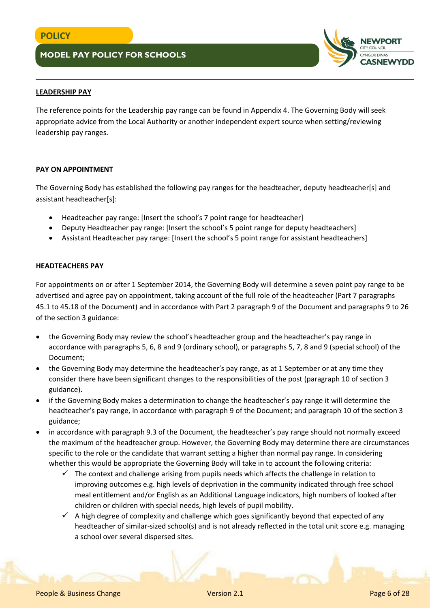

## **LEADERSHIP PAY**

The reference points for the Leadership pay range can be found in Appendix 4. The Governing Body will seek appropriate advice from the Local Authority or another independent expert source when setting/reviewing leadership pay ranges.

### **PAY ON APPOINTMENT**

The Governing Body has established the following pay ranges for the headteacher, deputy headteacher[s] and assistant headteacher[s]:

- Headteacher pay range: [Insert the school's 7 point range for headteacher]
- Deputy Headteacher pay range: [Insert the school's 5 point range for deputy headteachers]
- Assistant Headteacher pay range: [Insert the school's 5 point range for assistant headteachers]

### **HEADTEACHERS PAY**

For appointments on or after 1 September 2014, the Governing Body will determine a seven point pay range to be advertised and agree pay on appointment, taking account of the full role of the headteacher (Part 7 paragraphs 45.1 to 45.18 of the Document) and in accordance with Part 2 paragraph 9 of the Document and paragraphs 9 to 26 of the section 3 guidance:

- the Governing Body may review the school's headteacher group and the headteacher's pay range in accordance with paragraphs 5, 6, 8 and 9 (ordinary school), or paragraphs 5, 7, 8 and 9 (special school) of the Document;
- the Governing Body may determine the headteacher's pay range, as at 1 September or at any time they consider there have been significant changes to the responsibilities of the post (paragraph 10 of section 3 guidance).
- if the Governing Body makes a determination to change the headteacher's pay range it will determine the headteacher's pay range, in accordance with paragraph 9 of the Document; and paragraph 10 of the section 3 guidance;
- in accordance with paragraph 9.3 of the Document, the headteacher's pay range should not normally exceed the maximum of the headteacher group. However, the Governing Body may determine there are circumstances specific to the role or the candidate that warrant setting a higher than normal pay range. In considering whether this would be appropriate the Governing Body will take in to account the following criteria:
	- $\checkmark$  The context and challenge arising from pupils needs which affects the challenge in relation to improving outcomes e.g. high levels of deprivation in the community indicated through free school meal entitlement and/or English as an Additional Language indicators, high numbers of looked after children or children with special needs, high levels of pupil mobility.
	- $\checkmark$  A high degree of complexity and challenge which goes significantly beyond that expected of any headteacher of similar-sized school(s) and is not already reflected in the total unit score e.g. managing a school over several dispersed sites.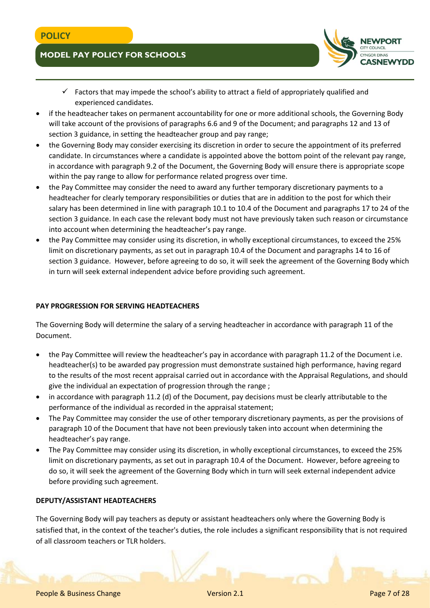

- $\checkmark$  Factors that may impede the school's ability to attract a field of appropriately qualified and experienced candidates.
- if the headteacher takes on permanent accountability for one or more additional schools, the Governing Body will take account of the provisions of paragraphs 6.6 and 9 of the Document; and paragraphs 12 and 13 of section 3 guidance, in setting the headteacher group and pay range;
- the Governing Body may consider exercising its discretion in order to secure the appointment of its preferred candidate. In circumstances where a candidate is appointed above the bottom point of the relevant pay range, in accordance with paragraph 9.2 of the Document, the Governing Body will ensure there is appropriate scope within the pay range to allow for performance related progress over time.
- the Pay Committee may consider the need to award any further temporary discretionary payments to a headteacher for clearly temporary responsibilities or duties that are in addition to the post for which their salary has been determined in line with paragraph 10.1 to 10.4 of the Document and paragraphs 17 to 24 of the section 3 guidance. In each case the relevant body must not have previously taken such reason or circumstance into account when determining the headteacher's pay range.
- the Pay Committee may consider using its discretion, in wholly exceptional circumstances, to exceed the 25% limit on discretionary payments, as set out in paragraph 10.4 of the Document and paragraphs 14 to 16 of section 3 guidance. However, before agreeing to do so, it will seek the agreement of the Governing Body which in turn will seek external independent advice before providing such agreement.

## **PAY PROGRESSION FOR SERVING HEADTEACHERS**

The Governing Body will determine the salary of a serving headteacher in accordance with paragraph 11 of the Document.

- the Pay Committee will review the headteacher's pay in accordance with paragraph 11.2 of the Document i.e. headteacher(s) to be awarded pay progression must demonstrate sustained high performance, having regard to the results of the most recent appraisal carried out in accordance with the Appraisal Regulations, and should give the individual an expectation of progression through the range ;
- in accordance with paragraph 11.2 (d) of the Document, pay decisions must be clearly attributable to the performance of the individual as recorded in the appraisal statement;
- The Pay Committee may consider the use of other temporary discretionary payments, as per the provisions of paragraph 10 of the Document that have not been previously taken into account when determining the headteacher's pay range.
- The Pay Committee may consider using its discretion, in wholly exceptional circumstances, to exceed the 25% limit on discretionary payments, as set out in paragraph 10.4 of the Document. However, before agreeing to do so, it will seek the agreement of the Governing Body which in turn will seek external independent advice before providing such agreement.

### **DEPUTY/ASSISTANT HEADTEACHERS**

The Governing Body will pay teachers as deputy or assistant headteachers only where the Governing Body is satisfied that, in the context of the teacher's duties, the role includes a significant responsibility that is not required of all classroom teachers or TLR holders.

People & Business Change Version 2.1 Page 7 of 28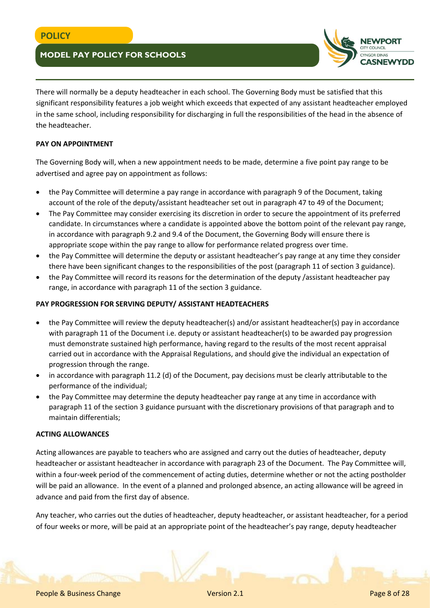

There will normally be a deputy headteacher in each school. The Governing Body must be satisfied that this significant responsibility features a job weight which exceeds that expected of any assistant headteacher employed in the same school, including responsibility for discharging in full the responsibilities of the head in the absence of the headteacher.

#### **PAY ON APPOINTMENT**

The Governing Body will, when a new appointment needs to be made, determine a five point pay range to be advertised and agree pay on appointment as follows:

- the Pay Committee will determine a pay range in accordance with paragraph 9 of the Document, taking account of the role of the deputy/assistant headteacher set out in paragraph 47 to 49 of the Document;
- The Pay Committee may consider exercising its discretion in order to secure the appointment of its preferred candidate. In circumstances where a candidate is appointed above the bottom point of the relevant pay range, in accordance with paragraph 9.2 and 9.4 of the Document, the Governing Body will ensure there is appropriate scope within the pay range to allow for performance related progress over time.
- the Pay Committee will determine the deputy or assistant headteacher's pay range at any time they consider there have been significant changes to the responsibilities of the post (paragraph 11 of section 3 guidance).
- the Pay Committee will record its reasons for the determination of the deputy /assistant headteacher pay range, in accordance with paragraph 11 of the section 3 guidance.

#### **PAY PROGRESSION FOR SERVING DEPUTY/ ASSISTANT HEADTEACHERS**

- the Pay Committee will review the deputy headteacher(s) and/or assistant headteacher(s) pay in accordance with paragraph 11 of the Document i.e. deputy or assistant headteacher(s) to be awarded pay progression must demonstrate sustained high performance, having regard to the results of the most recent appraisal carried out in accordance with the Appraisal Regulations, and should give the individual an expectation of progression through the range.
- in accordance with paragraph 11.2 (d) of the Document, pay decisions must be clearly attributable to the performance of the individual;
- the Pay Committee may determine the deputy headteacher pay range at any time in accordance with paragraph 11 of the section 3 guidance pursuant with the discretionary provisions of that paragraph and to maintain differentials;

#### **ACTING ALLOWANCES**

Acting allowances are payable to teachers who are assigned and carry out the duties of headteacher, deputy headteacher or assistant headteacher in accordance with paragraph 23 of the Document. The Pay Committee will, within a four-week period of the commencement of acting duties, determine whether or not the acting postholder will be paid an allowance. In the event of a planned and prolonged absence, an acting allowance will be agreed in advance and paid from the first day of absence.

Any teacher, who carries out the duties of headteacher, deputy headteacher, or assistant headteacher, for a period of four weeks or more, will be paid at an appropriate point of the headteacher's pay range, deputy headteacher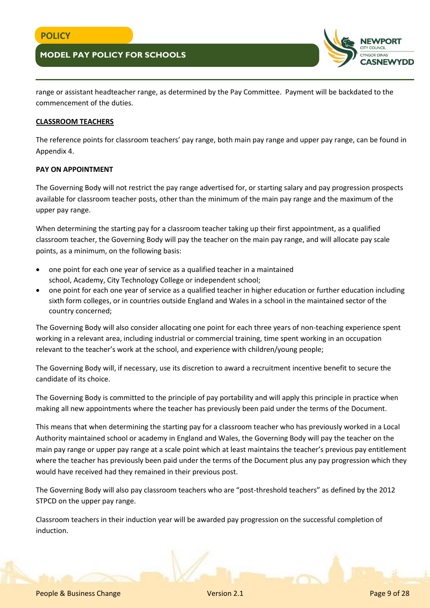

range or assistant headteacher range, as determined by the Pay Committee. Payment will be backdated to the commencement of the duties.

#### **CLASSROOM TEACHERS**

The reference points for classroom teachers' pay range, both main pay range and upper pay range, can be found in Appendix 4.

#### **PAY ON APPOINTMENT**

The Governing Body will not restrict the pay range advertised for, or starting salary and pay progression prospects available for classroom teacher posts, other than the minimum of the main pay range and the maximum of the upper pay range.

When determining the starting pay for a classroom teacher taking up their first appointment, as a qualified classroom teacher, the Governing Body will pay the teacher on the main pay range, and will allocate pay scale points, as a minimum, on the following basis:

- one point for each one year of service as a qualified teacher in a maintained school, Academy, City Technology College or independent school;
- one point for each one year of service as a qualified teacher in higher education or further education including sixth form colleges, or in countries outside England and Wales in a school in the maintained sector of the country concerned;

The Governing Body will also consider allocating one point for each three years of non-teaching experience spent working in a relevant area, including industrial or commercial training, time spent working in an occupation relevant to the teacher's work at the school, and experience with children/young people;

The Governing Body will, if necessary, use its discretion to award a recruitment incentive benefit to secure the candidate of its choice.

The Governing Body is committed to the principle of pay portability and will apply this principle in practice when making all new appointments where the teacher has previously been paid under the terms of the Document.

This means that when determining the starting pay for a classroom teacher who has previously worked in a Local Authority maintained school or academy in England and Wales, the Governing Body will pay the teacher on the main pay range or upper pay range at a scale point which at least maintains the teacher's previous pay entitlement where the teacher has previously been paid under the terms of the Document plus any pay progression which they would have received had they remained in their previous post.

The Governing Body will also pay classroom teachers who are "post-threshold teachers" as defined by the 2012 STPCD on the upper pay range.

Classroom teachers in their induction year will be awarded pay progression on the successful completion of induction.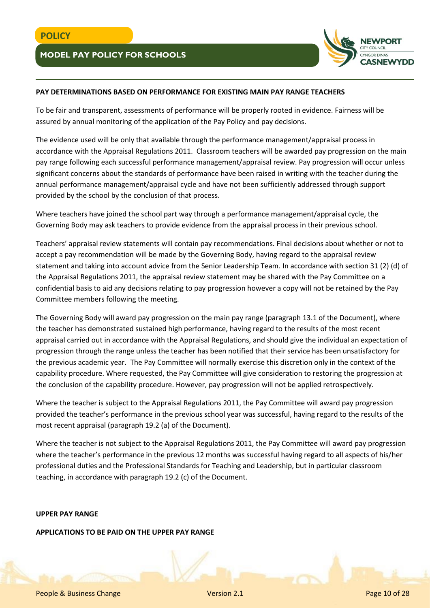

## **PAY DETERMINATIONS BASED ON PERFORMANCE FOR EXISTING MAIN PAY RANGE TEACHERS**

To be fair and transparent, assessments of performance will be properly rooted in evidence. Fairness will be assured by annual monitoring of the application of the Pay Policy and pay decisions.

The evidence used will be only that available through the performance management/appraisal process in accordance with the Appraisal Regulations 2011. Classroom teachers will be awarded pay progression on the main pay range following each successful performance management/appraisal review. Pay progression will occur unless significant concerns about the standards of performance have been raised in writing with the teacher during the annual performance management/appraisal cycle and have not been sufficiently addressed through support provided by the school by the conclusion of that process.

Where teachers have joined the school part way through a performance management/appraisal cycle, the Governing Body may ask teachers to provide evidence from the appraisal process in their previous school.

Teachers' appraisal review statements will contain pay recommendations. Final decisions about whether or not to accept a pay recommendation will be made by the Governing Body, having regard to the appraisal review statement and taking into account advice from the Senior Leadership Team. In accordance with section 31 (2) (d) of the Appraisal Regulations 2011, the appraisal review statement may be shared with the Pay Committee on a confidential basis to aid any decisions relating to pay progression however a copy will not be retained by the Pay Committee members following the meeting.

The Governing Body will award pay progression on the main pay range (paragraph 13.1 of the Document), where the teacher has demonstrated sustained high performance, having regard to the results of the most recent appraisal carried out in accordance with the Appraisal Regulations, and should give the individual an expectation of progression through the range unless the teacher has been notified that their service has been unsatisfactory for the previous academic year. The Pay Committee will normally exercise this discretion only in the context of the capability procedure. Where requested, the Pay Committee will give consideration to restoring the progression at the conclusion of the capability procedure. However, pay progression will not be applied retrospectively.

Where the teacher is subject to the Appraisal Regulations 2011, the Pay Committee will award pay progression provided the teacher's performance in the previous school year was successful, having regard to the results of the most recent appraisal (paragraph 19.2 (a) of the Document).

Where the teacher is not subject to the Appraisal Regulations 2011, the Pay Committee will award pay progression where the teacher's performance in the previous 12 months was successful having regard to all aspects of his/her professional duties and the Professional Standards for Teaching and Leadership, but in particular classroom teaching, in accordance with paragraph 19.2 (c) of the Document.

## **UPPER PAY RANGE**

### **APPLICATIONS TO BE PAID ON THE UPPER PAY RANGE**

People & Business Change Version 2.1 Page 10 of 28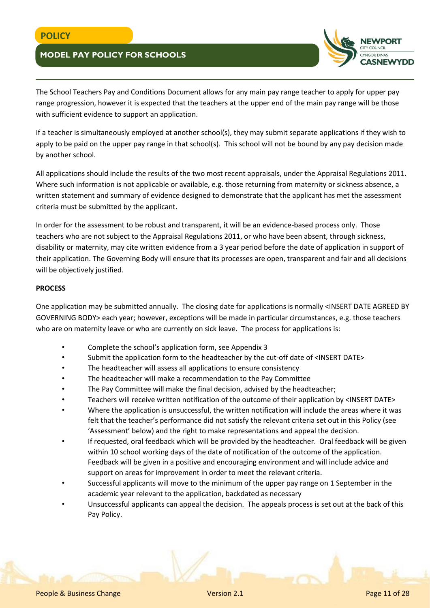

The School Teachers Pay and Conditions Document allows for any main pay range teacher to apply for upper pay range progression, however it is expected that the teachers at the upper end of the main pay range will be those with sufficient evidence to support an application.

If a teacher is simultaneously employed at another school(s), they may submit separate applications if they wish to apply to be paid on the upper pay range in that school(s). This school will not be bound by any pay decision made by another school.

All applications should include the results of the two most recent appraisals, under the Appraisal Regulations 2011. Where such information is not applicable or available, e.g. those returning from maternity or sickness absence, a written statement and summary of evidence designed to demonstrate that the applicant has met the assessment criteria must be submitted by the applicant.

In order for the assessment to be robust and transparent, it will be an evidence-based process only. Those teachers who are not subject to the Appraisal Regulations 2011, or who have been absent, through sickness, disability or maternity, may cite written evidence from a 3 year period before the date of application in support of their application. The Governing Body will ensure that its processes are open, transparent and fair and all decisions will be objectively justified.

#### **PROCESS**

One application may be submitted annually. The closing date for applications is normally <INSERT DATE AGREED BY GOVERNING BODY> each year; however, exceptions will be made in particular circumstances, e.g. those teachers who are on maternity leave or who are currently on sick leave. The process for applications is:

- Complete the school's application form, see Appendix 3
- Submit the application form to the headteacher by the cut-off date of <INSERT DATE>
- The headteacher will assess all applications to ensure consistency
- The headteacher will make a recommendation to the Pay Committee
- The Pay Committee will make the final decision, advised by the headteacher;
- Teachers will receive written notification of the outcome of their application by <INSERT DATE>
- Where the application is unsuccessful, the written notification will include the areas where it was felt that the teacher's performance did not satisfy the relevant criteria set out in this Policy (see 'Assessment' below) and the right to make representations and appeal the decision.
- If requested, oral feedback which will be provided by the headteacher. Oral feedback will be given within 10 school working days of the date of notification of the outcome of the application. Feedback will be given in a positive and encouraging environment and will include advice and support on areas for improvement in order to meet the relevant criteria.
- Successful applicants will move to the minimum of the upper pay range on 1 September in the academic year relevant to the application, backdated as necessary
- Unsuccessful applicants can appeal the decision. The appeals process is set out at the back of this Pay Policy.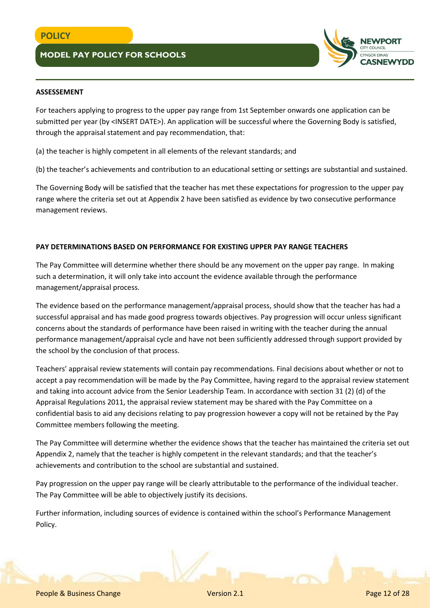

### **ASSESSEMENT**

For teachers applying to progress to the upper pay range from 1st September onwards one application can be submitted per year (by <INSERT DATE>). An application will be successful where the Governing Body is satisfied, through the appraisal statement and pay recommendation, that:

(a) the teacher is highly competent in all elements of the relevant standards; and

(b) the teacher's achievements and contribution to an educational setting or settings are substantial and sustained.

The Governing Body will be satisfied that the teacher has met these expectations for progression to the upper pay range where the criteria set out at Appendix 2 have been satisfied as evidence by two consecutive performance management reviews.

### **PAY DETERMINATIONS BASED ON PERFORMANCE FOR EXISTING UPPER PAY RANGE TEACHERS**

The Pay Committee will determine whether there should be any movement on the upper pay range. In making such a determination, it will only take into account the evidence available through the performance management/appraisal process.

The evidence based on the performance management/appraisal process, should show that the teacher has had a successful appraisal and has made good progress towards objectives. Pay progression will occur unless significant concerns about the standards of performance have been raised in writing with the teacher during the annual performance management/appraisal cycle and have not been sufficiently addressed through support provided by the school by the conclusion of that process.

Teachers' appraisal review statements will contain pay recommendations. Final decisions about whether or not to accept a pay recommendation will be made by the Pay Committee, having regard to the appraisal review statement and taking into account advice from the Senior Leadership Team. In accordance with section 31 (2) (d) of the Appraisal Regulations 2011, the appraisal review statement may be shared with the Pay Committee on a confidential basis to aid any decisions relating to pay progression however a copy will not be retained by the Pay Committee members following the meeting.

The Pay Committee will determine whether the evidence shows that the teacher has maintained the criteria set out Appendix 2, namely that the teacher is highly competent in the relevant standards; and that the teacher's achievements and contribution to the school are substantial and sustained.

Pay progression on the upper pay range will be clearly attributable to the performance of the individual teacher. The Pay Committee will be able to objectively justify its decisions.

Further information, including sources of evidence is contained within the school's Performance Management Policy.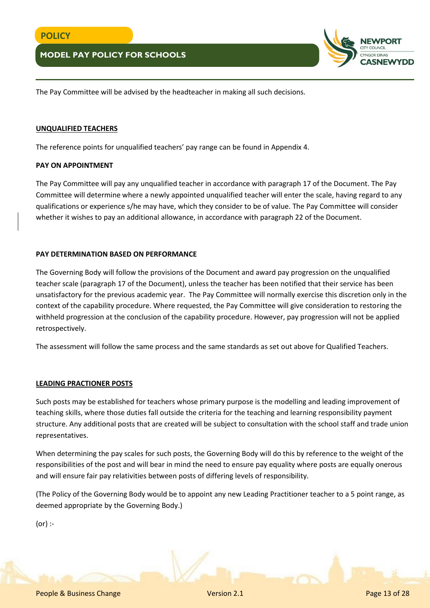

The Pay Committee will be advised by the headteacher in making all such decisions.

#### **UNQUALIFIED TEACHERS**

The reference points for unqualified teachers' pay range can be found in Appendix 4.

#### **PAY ON APPOINTMENT**

The Pay Committee will pay any unqualified teacher in accordance with paragraph 17 of the Document. The Pay Committee will determine where a newly appointed unqualified teacher will enter the scale, having regard to any qualifications or experience s/he may have, which they consider to be of value. The Pay Committee will consider whether it wishes to pay an additional allowance, in accordance with paragraph 22 of the Document.

### **PAY DETERMINATION BASED ON PERFORMANCE**

The Governing Body will follow the provisions of the Document and award pay progression on the unqualified teacher scale (paragraph 17 of the Document), unless the teacher has been notified that their service has been unsatisfactory for the previous academic year. The Pay Committee will normally exercise this discretion only in the context of the capability procedure. Where requested, the Pay Committee will give consideration to restoring the withheld progression at the conclusion of the capability procedure. However, pay progression will not be applied retrospectively.

The assessment will follow the same process and the same standards as set out above for Qualified Teachers.

### **LEADING PRACTIONER POSTS**

Such posts may be established for teachers whose primary purpose is the modelling and leading improvement of teaching skills, where those duties fall outside the criteria for the teaching and learning responsibility payment structure. Any additional posts that are created will be subject to consultation with the school staff and trade union representatives.

When determining the pay scales for such posts, the Governing Body will do this by reference to the weight of the responsibilities of the post and will bear in mind the need to ensure pay equality where posts are equally onerous and will ensure fair pay relativities between posts of differing levels of responsibility.

(The Policy of the Governing Body would be to appoint any new Leading Practitioner teacher to a 5 point range, as deemed appropriate by the Governing Body.)

(or) :-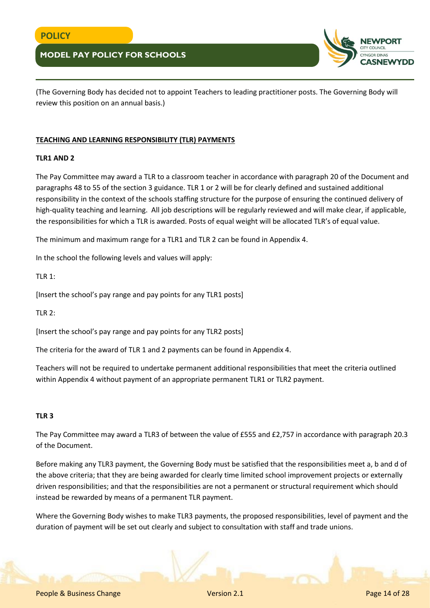

(The Governing Body has decided not to appoint Teachers to leading practitioner posts. The Governing Body will review this position on an annual basis.)

### **TEACHING AND LEARNING RESPONSIBILITY (TLR) PAYMENTS**

### **TLR1 AND 2**

The Pay Committee may award a TLR to a classroom teacher in accordance with paragraph 20 of the Document and paragraphs 48 to 55 of the section 3 guidance. TLR 1 or 2 will be for clearly defined and sustained additional responsibility in the context of the schools staffing structure for the purpose of ensuring the continued delivery of high-quality teaching and learning. All job descriptions will be regularly reviewed and will make clear, if applicable, the responsibilities for which a TLR is awarded. Posts of equal weight will be allocated TLR's of equal value.

The minimum and maximum range for a TLR1 and TLR 2 can be found in Appendix 4.

In the school the following levels and values will apply:

TLR 1:

[Insert the school's pay range and pay points for any TLR1 posts]

TLR 2:

[Insert the school's pay range and pay points for any TLR2 posts]

The criteria for the award of TLR 1 and 2 payments can be found in Appendix 4.

Teachers will not be required to undertake permanent additional responsibilities that meet the criteria outlined within Appendix 4 without payment of an appropriate permanent TLR1 or TLR2 payment.

### **TLR 3**

The Pay Committee may award a TLR3 of between the value of £555 and £2,757 in accordance with paragraph 20.3 of the Document.

Before making any TLR3 payment, the Governing Body must be satisfied that the responsibilities meet a, b and d of the above criteria; that they are being awarded for clearly time limited school improvement projects or externally driven responsibilities; and that the responsibilities are not a permanent or structural requirement which should instead be rewarded by means of a permanent TLR payment.

Where the Governing Body wishes to make TLR3 payments, the proposed responsibilities, level of payment and the duration of payment will be set out clearly and subject to consultation with staff and trade unions.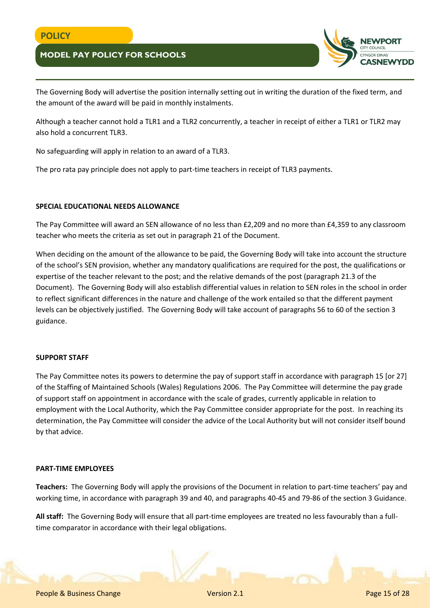

The Governing Body will advertise the position internally setting out in writing the duration of the fixed term, and the amount of the award will be paid in monthly instalments.

Although a teacher cannot hold a TLR1 and a TLR2 concurrently, a teacher in receipt of either a TLR1 or TLR2 may also hold a concurrent TLR3.

No safeguarding will apply in relation to an award of a TLR3.

The pro rata pay principle does not apply to part-time teachers in receipt of TLR3 payments.

### **SPECIAL EDUCATIONAL NEEDS ALLOWANCE**

The Pay Committee will award an SEN allowance of no less than £2,209 and no more than £4,359 to any classroom teacher who meets the criteria as set out in paragraph 21 of the Document.

When deciding on the amount of the allowance to be paid, the Governing Body will take into account the structure of the school's SEN provision, whether any mandatory qualifications are required for the post, the qualifications or expertise of the teacher relevant to the post; and the relative demands of the post (paragraph 21.3 of the Document). The Governing Body will also establish differential values in relation to SEN roles in the school in order to reflect significant differences in the nature and challenge of the work entailed so that the different payment levels can be objectively justified. The Governing Body will take account of paragraphs 56 to 60 of the section 3 guidance.

### **SUPPORT STAFF**

The Pay Committee notes its powers to determine the pay of support staff in accordance with paragraph 15 [or 27] of the Staffing of Maintained Schools (Wales) Regulations 2006. The Pay Committee will determine the pay grade of support staff on appointment in accordance with the scale of grades, currently applicable in relation to employment with the Local Authority, which the Pay Committee consider appropriate for the post. In reaching its determination, the Pay Committee will consider the advice of the Local Authority but will not consider itself bound by that advice.

#### **PART-TIME EMPLOYEES**

**Teachers:** The Governing Body will apply the provisions of the Document in relation to part-time teachers' pay and working time, in accordance with paragraph 39 and 40, and paragraphs 40-45 and 79-86 of the section 3 Guidance.

**All staff:** The Governing Body will ensure that all part-time employees are treated no less favourably than a fulltime comparator in accordance with their legal obligations.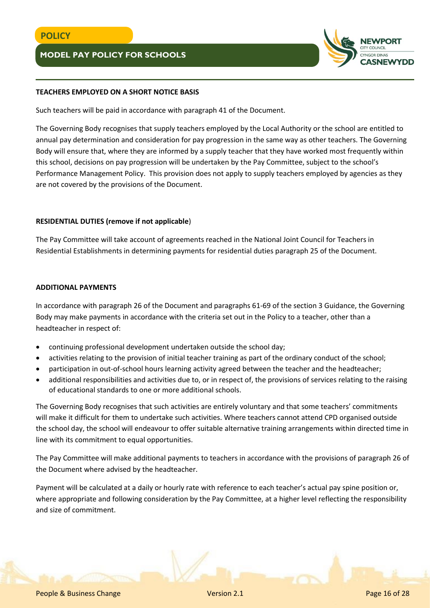

## **TEACHERS EMPLOYED ON A SHORT NOTICE BASIS**

Such teachers will be paid in accordance with paragraph 41 of the Document.

The Governing Body recognises that supply teachers employed by the Local Authority or the school are entitled to annual pay determination and consideration for pay progression in the same way as other teachers. The Governing Body will ensure that, where they are informed by a supply teacher that they have worked most frequently within this school, decisions on pay progression will be undertaken by the Pay Committee, subject to the school's Performance Management Policy. This provision does not apply to supply teachers employed by agencies as they are not covered by the provisions of the Document.

### **RESIDENTIAL DUTIES (remove if not applicable**)

The Pay Committee will take account of agreements reached in the National Joint Council for Teachers in Residential Establishments in determining payments for residential duties paragraph 25 of the Document.

#### **ADDITIONAL PAYMENTS**

In accordance with paragraph 26 of the Document and paragraphs 61-69 of the section 3 Guidance, the Governing Body may make payments in accordance with the criteria set out in the Policy to a teacher, other than a headteacher in respect of:

- continuing professional development undertaken outside the school day;
- activities relating to the provision of initial teacher training as part of the ordinary conduct of the school;
- participation in out-of-school hours learning activity agreed between the teacher and the headteacher;
- additional responsibilities and activities due to, or in respect of, the provisions of services relating to the raising of educational standards to one or more additional schools.

The Governing Body recognises that such activities are entirely voluntary and that some teachers' commitments will make it difficult for them to undertake such activities. Where teachers cannot attend CPD organised outside the school day, the school will endeavour to offer suitable alternative training arrangements within directed time in line with its commitment to equal opportunities.

The Pay Committee will make additional payments to teachers in accordance with the provisions of paragraph 26 of the Document where advised by the headteacher.

Payment will be calculated at a daily or hourly rate with reference to each teacher's actual pay spine position or, where appropriate and following consideration by the Pay Committee, at a higher level reflecting the responsibility and size of commitment.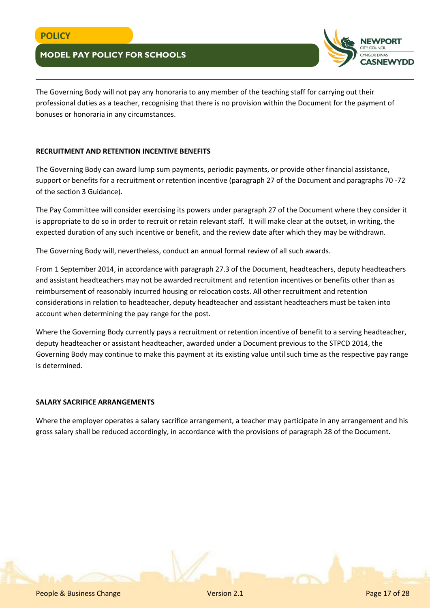

The Governing Body will not pay any honoraria to any member of the teaching staff for carrying out their professional duties as a teacher, recognising that there is no provision within the Document for the payment of bonuses or honoraria in any circumstances.

## **RECRUITMENT AND RETENTION INCENTIVE BENEFITS**

The Governing Body can award lump sum payments, periodic payments, or provide other financial assistance, support or benefits for a recruitment or retention incentive (paragraph 27 of the Document and paragraphs 70 -72 of the section 3 Guidance).

The Pay Committee will consider exercising its powers under paragraph 27 of the Document where they consider it is appropriate to do so in order to recruit or retain relevant staff. It will make clear at the outset, in writing, the expected duration of any such incentive or benefit, and the review date after which they may be withdrawn.

The Governing Body will, nevertheless, conduct an annual formal review of all such awards.

From 1 September 2014, in accordance with paragraph 27.3 of the Document, headteachers, deputy headteachers and assistant headteachers may not be awarded recruitment and retention incentives or benefits other than as reimbursement of reasonably incurred housing or relocation costs. All other recruitment and retention considerations in relation to headteacher, deputy headteacher and assistant headteachers must be taken into account when determining the pay range for the post.

Where the Governing Body currently pays a recruitment or retention incentive of benefit to a serving headteacher, deputy headteacher or assistant headteacher, awarded under a Document previous to the STPCD 2014, the Governing Body may continue to make this payment at its existing value until such time as the respective pay range is determined.

### **SALARY SACRIFICE ARRANGEMENTS**

Where the employer operates a salary sacrifice arrangement, a teacher may participate in any arrangement and his gross salary shall be reduced accordingly, in accordance with the provisions of paragraph 28 of the Document.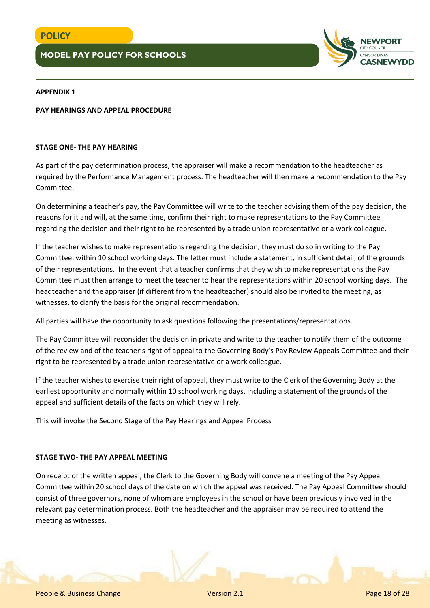

### **APPENDIX 1**

#### **PAY HEARINGS AND APPEAL PROCEDURE**

#### **STAGE ONE- THE PAY HEARING**

As part of the pay determination process, the appraiser will make a recommendation to the headteacher as required by the Performance Management process. The headteacher will then make a recommendation to the Pay Committee.

On determining a teacher's pay, the Pay Committee will write to the teacher advising them of the pay decision, the reasons for it and will, at the same time, confirm their right to make representations to the Pay Committee regarding the decision and their right to be represented by a trade union representative or a work colleague.

If the teacher wishes to make representations regarding the decision, they must do so in writing to the Pay Committee, within 10 school working days. The letter must include a statement, in sufficient detail, of the grounds of their representations. In the event that a teacher confirms that they wish to make representations the Pay Committee must then arrange to meet the teacher to hear the representations within 20 school working days. The headteacher and the appraiser (if different from the headteacher) should also be invited to the meeting, as witnesses, to clarify the basis for the original recommendation.

All parties will have the opportunity to ask questions following the presentations/representations.

The Pay Committee will reconsider the decision in private and write to the teacher to notify them of the outcome of the review and of the teacher's right of appeal to the Governing Body's Pay Review Appeals Committee and their right to be represented by a trade union representative or a work colleague.

If the teacher wishes to exercise their right of appeal, they must write to the Clerk of the Governing Body at the earliest opportunity and normally within 10 school working days, including a statement of the grounds of the appeal and sufficient details of the facts on which they will rely.

This will invoke the Second Stage of the Pay Hearings and Appeal Process

#### **STAGE TWO- THE PAY APPEAL MEETING**

On receipt of the written appeal, the Clerk to the Governing Body will convene a meeting of the Pay Appeal Committee within 20 school days of the date on which the appeal was received. The Pay Appeal Committee should consist of three governors, none of whom are employees in the school or have been previously involved in the relevant pay determination process. Both the headteacher and the appraiser may be required to attend the meeting as witnesses.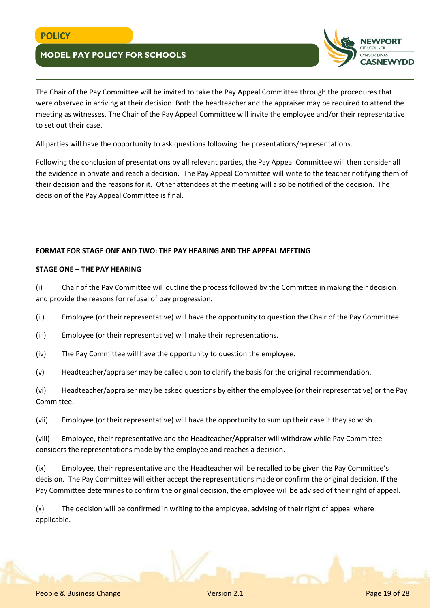

The Chair of the Pay Committee will be invited to take the Pay Appeal Committee through the procedures that were observed in arriving at their decision. Both the headteacher and the appraiser may be required to attend the meeting as witnesses. The Chair of the Pay Appeal Committee will invite the employee and/or their representative to set out their case.

All parties will have the opportunity to ask questions following the presentations/representations.

Following the conclusion of presentations by all relevant parties, the Pay Appeal Committee will then consider all the evidence in private and reach a decision. The Pay Appeal Committee will write to the teacher notifying them of their decision and the reasons for it. Other attendees at the meeting will also be notified of the decision. The decision of the Pay Appeal Committee is final.

## **FORMAT FOR STAGE ONE AND TWO: THE PAY HEARING AND THE APPEAL MEETING**

### **STAGE ONE – THE PAY HEARING**

(i) Chair of the Pay Committee will outline the process followed by the Committee in making their decision and provide the reasons for refusal of pay progression.

(ii) Employee (or their representative) will have the opportunity to question the Chair of the Pay Committee.

(iii) Employee (or their representative) will make their representations.

(iv) The Pay Committee will have the opportunity to question the employee.

(v) Headteacher/appraiser may be called upon to clarify the basis for the original recommendation.

(vi) Headteacher/appraiser may be asked questions by either the employee (or their representative) or the Pay Committee.

(vii) Employee (or their representative) will have the opportunity to sum up their case if they so wish.

(viii) Employee, their representative and the Headteacher/Appraiser will withdraw while Pay Committee considers the representations made by the employee and reaches a decision.

(ix) Employee, their representative and the Headteacher will be recalled to be given the Pay Committee's decision. The Pay Committee will either accept the representations made or confirm the original decision. If the Pay Committee determines to confirm the original decision, the employee will be advised of their right of appeal.

(x) The decision will be confirmed in writing to the employee, advising of their right of appeal where applicable.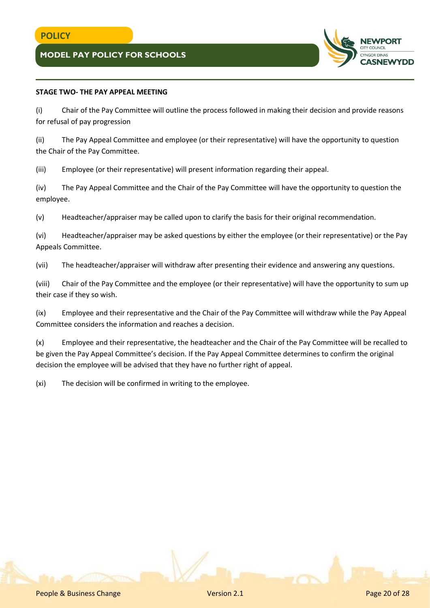

## **STAGE TWO- THE PAY APPEAL MEETING**

(i) Chair of the Pay Committee will outline the process followed in making their decision and provide reasons for refusal of pay progression

(ii) The Pay Appeal Committee and employee (or their representative) will have the opportunity to question the Chair of the Pay Committee.

(iii) Employee (or their representative) will present information regarding their appeal.

(iv) The Pay Appeal Committee and the Chair of the Pay Committee will have the opportunity to question the employee.

(v) Headteacher/appraiser may be called upon to clarify the basis for their original recommendation.

(vi) Headteacher/appraiser may be asked questions by either the employee (or their representative) or the Pay Appeals Committee.

(vii) The headteacher/appraiser will withdraw after presenting their evidence and answering any questions.

(viii) Chair of the Pay Committee and the employee (or their representative) will have the opportunity to sum up their case if they so wish.

(ix) Employee and their representative and the Chair of the Pay Committee will withdraw while the Pay Appeal Committee considers the information and reaches a decision.

(x) Employee and their representative, the headteacher and the Chair of the Pay Committee will be recalled to be given the Pay Appeal Committee's decision. If the Pay Appeal Committee determines to confirm the original decision the employee will be advised that they have no further right of appeal.

(xi) The decision will be confirmed in writing to the employee.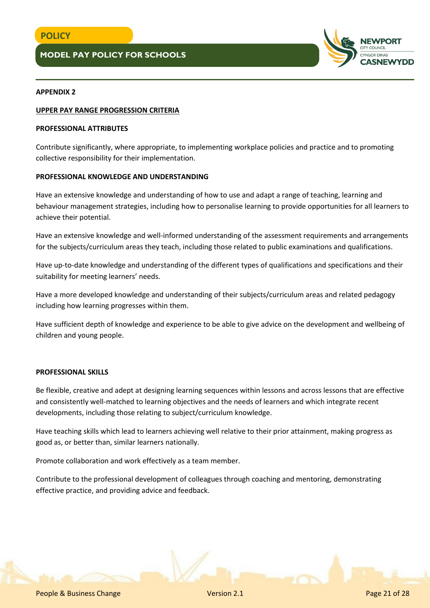

#### **APPENDIX 2**

#### **UPPER PAY RANGE PROGRESSION CRITERIA**

#### **PROFESSIONAL ATTRIBUTES**

Contribute significantly, where appropriate, to implementing workplace policies and practice and to promoting collective responsibility for their implementation.

#### **PROFESSIONAL KNOWLEDGE AND UNDERSTANDING**

Have an extensive knowledge and understanding of how to use and adapt a range of teaching, learning and behaviour management strategies, including how to personalise learning to provide opportunities for all learners to achieve their potential.

Have an extensive knowledge and well-informed understanding of the assessment requirements and arrangements for the subjects/curriculum areas they teach, including those related to public examinations and qualifications.

Have up-to-date knowledge and understanding of the different types of qualifications and specifications and their suitability for meeting learners' needs.

Have a more developed knowledge and understanding of their subjects/curriculum areas and related pedagogy including how learning progresses within them.

Have sufficient depth of knowledge and experience to be able to give advice on the development and wellbeing of children and young people.

#### **PROFESSIONAL SKILLS**

Be flexible, creative and adept at designing learning sequences within lessons and across lessons that are effective and consistently well-matched to learning objectives and the needs of learners and which integrate recent developments, including those relating to subject/curriculum knowledge.

Have teaching skills which lead to learners achieving well relative to their prior attainment, making progress as good as, or better than, similar learners nationally.

Promote collaboration and work effectively as a team member.

Contribute to the professional development of colleagues through coaching and mentoring, demonstrating effective practice, and providing advice and feedback.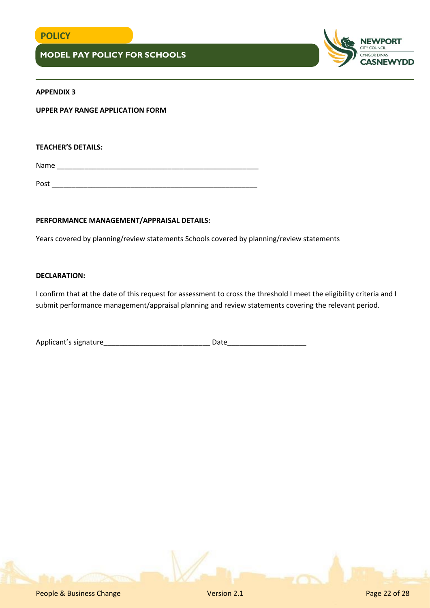

### **APPENDIX 3**

**UPPER PAY RANGE APPLICATION FORM**

**TEACHER'S DETAILS:**

Name \_\_\_\_\_\_\_\_\_\_\_\_\_\_\_\_\_\_\_\_\_\_\_\_\_\_\_\_\_\_\_\_\_\_\_\_\_\_\_\_\_\_\_\_\_\_\_\_\_\_\_

Post  $\overline{\phantom{a}}$ 

### **PERFORMANCE MANAGEMENT/APPRAISAL DETAILS:**

Years covered by planning/review statements Schools covered by planning/review statements

### **DECLARATION:**

I confirm that at the date of this request for assessment to cross the threshold I meet the eligibility criteria and I submit performance management/appraisal planning and review statements covering the relevant period.

| Applicant's signature |  |
|-----------------------|--|
|                       |  |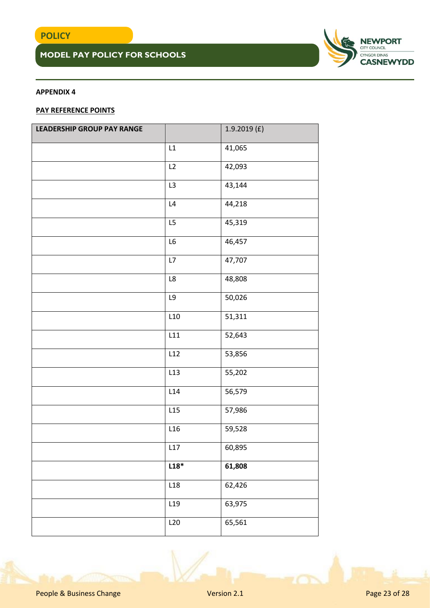

## **APPENDIX 4**

## **PAY REFERENCE POINTS**

| LEADERSHIP GROUP PAY RANGE |                 | 1.9.2019(f) |
|----------------------------|-----------------|-------------|
|                            | L1              | 41,065      |
|                            | L2              | 42,093      |
|                            | L3              | 43,144      |
|                            | $\mathsf{L}4$   | 44,218      |
|                            | L5              | 45,319      |
|                            | L6              | 46,457      |
|                            | L7              | 47,707      |
|                            | $\mathsf{L8}$   | 48,808      |
|                            | $\mathsf{L}9$   | 50,026      |
|                            | L10             | 51,311      |
|                            | L11             | 52,643      |
|                            | L12             | 53,856      |
|                            | L13             | 55,202      |
|                            | L14             | 56,579      |
|                            | L15             | 57,986      |
|                            | L16             | 59,528      |
|                            | L17             | 60,895      |
|                            | $L18*$          | 61,808      |
|                            | L18             | 62,426      |
|                            | L <sub>19</sub> | 63,975      |
|                            | L20             | 65,561      |

People & Business Change Version 2.1 Page 23 of 28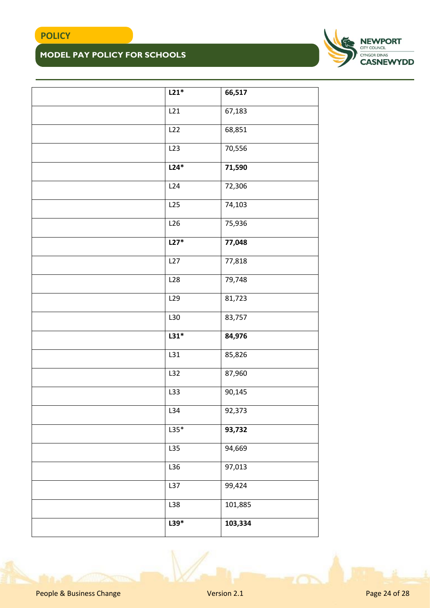

| $L21*$ | 66,517  |
|--------|---------|
| L21    | 67,183  |
| L22    | 68,851  |
| L23    | 70,556  |
| $L24*$ | 71,590  |
| L24    | 72,306  |
| L25    | 74,103  |
| L26    | 75,936  |
| $L27*$ | 77,048  |
| L27    | 77,818  |
| L28    | 79,748  |
| L29    | 81,723  |
| L30    | 83,757  |
| $L31*$ | 84,976  |
| L31    | 85,826  |
| L32    | 87,960  |
| L33    | 90,145  |
| L34    | 92,373  |
| $L35*$ | 93,732  |
| L35    | 94,669  |
| L36    | 97,013  |
| L37    | 99,424  |
| L38    | 101,885 |
| $L39*$ | 103,334 |
|        |         |

People & Business Change Version 2.1 Page 24 of 28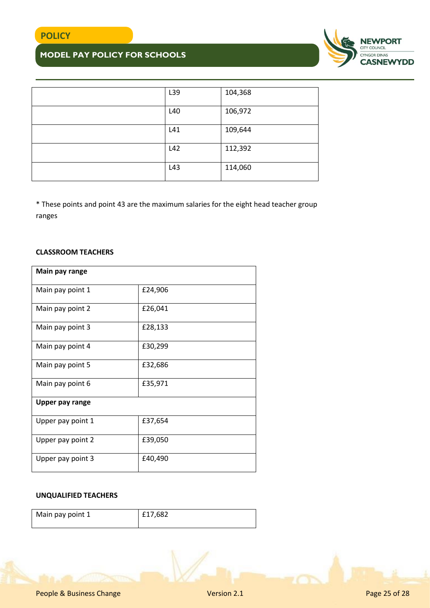

| L39 | 104,368 |
|-----|---------|
| L40 | 106,972 |
| L41 | 109,644 |
| L42 | 112,392 |
| L43 | 114,060 |

\* These points and point 43 are the maximum salaries for the eight head teacher group ranges

### **CLASSROOM TEACHERS**

| Main pay range         |         |
|------------------------|---------|
| Main pay point 1       | £24,906 |
| Main pay point 2       | £26,041 |
| Main pay point 3       | £28,133 |
| Main pay point 4       | £30,299 |
| Main pay point 5       | £32,686 |
| Main pay point 6       | £35,971 |
| <b>Upper pay range</b> |         |
| Upper pay point 1      | £37,654 |
| Upper pay point 2      | £39,050 |
| Upper pay point 3      | £40,490 |

## **UNQUALIFIED TEACHERS**

| Main pay point 1 | £17,682 |  |
|------------------|---------|--|
|                  |         |  |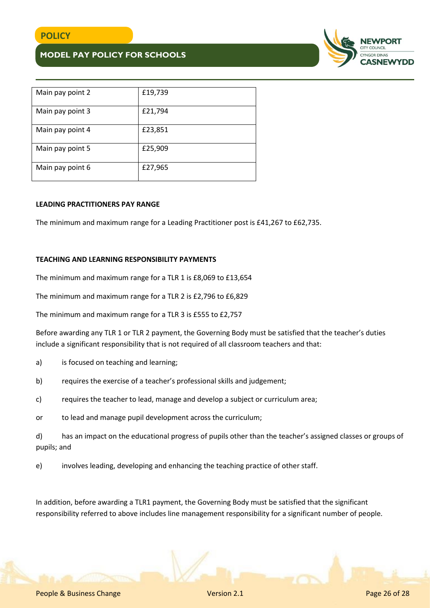

| Main pay point 2 | £19,739 |
|------------------|---------|
| Main pay point 3 | £21,794 |
| Main pay point 4 | £23,851 |
| Main pay point 5 | £25,909 |
| Main pay point 6 | £27,965 |

#### **LEADING PRACTITIONERS PAY RANGE**

The minimum and maximum range for a Leading Practitioner post is £41,267 to £62,735.

#### **TEACHING AND LEARNING RESPONSIBILITY PAYMENTS**

The minimum and maximum range for a TLR 1 is £8,069 to £13,654

The minimum and maximum range for a TLR 2 is £2,796 to £6,829

The minimum and maximum range for a TLR 3 is £555 to £2,757

Before awarding any TLR 1 or TLR 2 payment, the Governing Body must be satisfied that the teacher's duties include a significant responsibility that is not required of all classroom teachers and that:

- a) is focused on teaching and learning;
- b) requires the exercise of a teacher's professional skills and judgement;
- c) requires the teacher to lead, manage and develop a subject or curriculum area;
- or to lead and manage pupil development across the curriculum;

d) has an impact on the educational progress of pupils other than the teacher's assigned classes or groups of pupils; and

e) involves leading, developing and enhancing the teaching practice of other staff.

In addition, before awarding a TLR1 payment, the Governing Body must be satisfied that the significant responsibility referred to above includes line management responsibility for a significant number of people.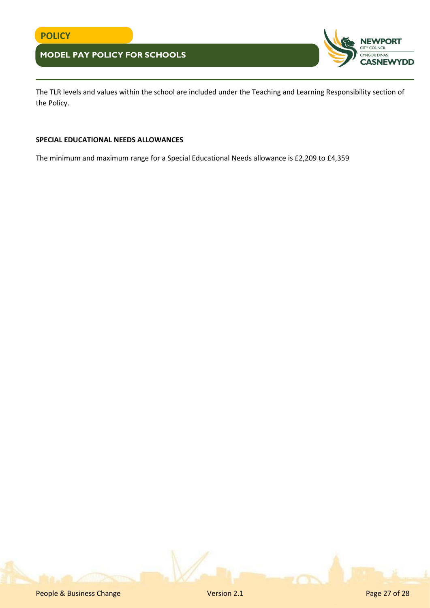

The TLR levels and values within the school are included under the Teaching and Learning Responsibility section of the Policy.

#### **SPECIAL EDUCATIONAL NEEDS ALLOWANCES**

The minimum and maximum range for a Special Educational Needs allowance is £2,209 to £4,359